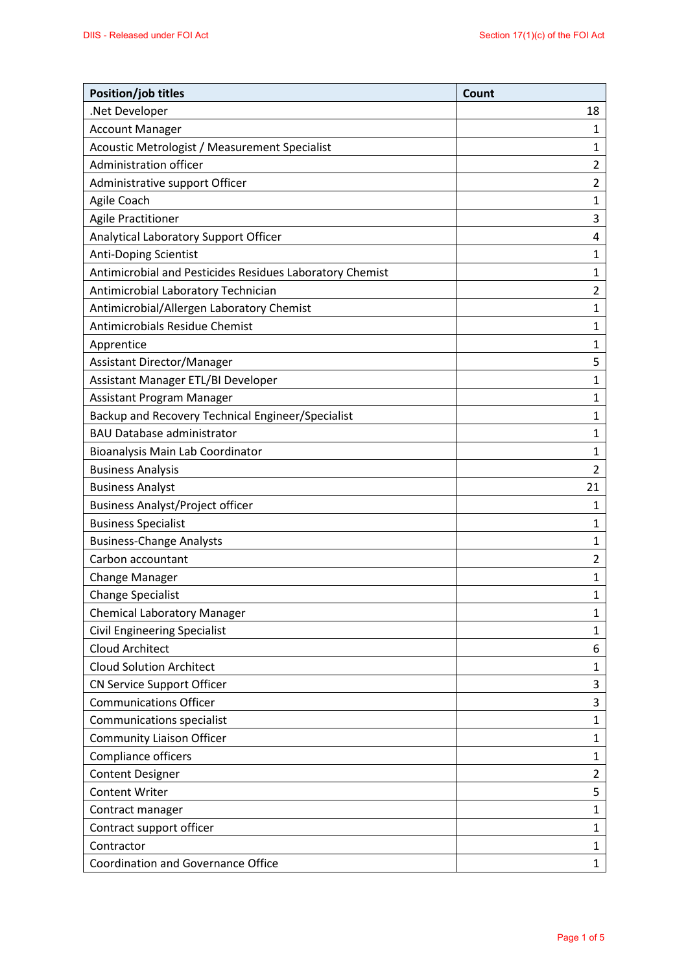| Position/job titles                                      | Count          |
|----------------------------------------------------------|----------------|
| .Net Developer                                           | 18             |
| <b>Account Manager</b>                                   | 1              |
| Acoustic Metrologist / Measurement Specialist            | 1              |
| Administration officer                                   | $\overline{2}$ |
| Administrative support Officer                           | $\overline{2}$ |
| Agile Coach                                              | 1              |
| <b>Agile Practitioner</b>                                | 3              |
| Analytical Laboratory Support Officer                    | 4              |
| <b>Anti-Doping Scientist</b>                             | 1              |
| Antimicrobial and Pesticides Residues Laboratory Chemist | 1              |
| Antimicrobial Laboratory Technician                      | $\overline{2}$ |
| Antimicrobial/Allergen Laboratory Chemist                | 1              |
| Antimicrobials Residue Chemist                           | 1              |
| Apprentice                                               | 1              |
| Assistant Director/Manager                               | 5              |
| Assistant Manager ETL/BI Developer                       | 1              |
| Assistant Program Manager                                | 1              |
| Backup and Recovery Technical Engineer/Specialist        | 1              |
| <b>BAU Database administrator</b>                        | 1              |
| Bioanalysis Main Lab Coordinator                         | 1              |
| <b>Business Analysis</b>                                 | $\overline{2}$ |
| <b>Business Analyst</b>                                  | 21             |
| <b>Business Analyst/Project officer</b>                  | 1              |
| <b>Business Specialist</b>                               | 1              |
| <b>Business-Change Analysts</b>                          | 1              |
| Carbon accountant                                        | 2              |
| Change Manager                                           | 1              |
| <b>Change Specialist</b>                                 | 1              |
| <b>Chemical Laboratory Manager</b>                       | 1              |
| <b>Civil Engineering Specialist</b>                      | $\mathbf{1}$   |
| <b>Cloud Architect</b>                                   | 6              |
| <b>Cloud Solution Architect</b>                          | 1              |
| <b>CN Service Support Officer</b>                        | 3              |
| <b>Communications Officer</b>                            | 3              |
| <b>Communications specialist</b>                         | 1              |
| <b>Community Liaison Officer</b>                         | 1              |
| Compliance officers                                      | 1              |
| <b>Content Designer</b>                                  | 2              |
| <b>Content Writer</b>                                    | 5              |
| Contract manager                                         | 1              |
| Contract support officer                                 | $\mathbf{1}$   |
| Contractor                                               | $\mathbf{1}$   |
| <b>Coordination and Governance Office</b>                | $\mathbf 1$    |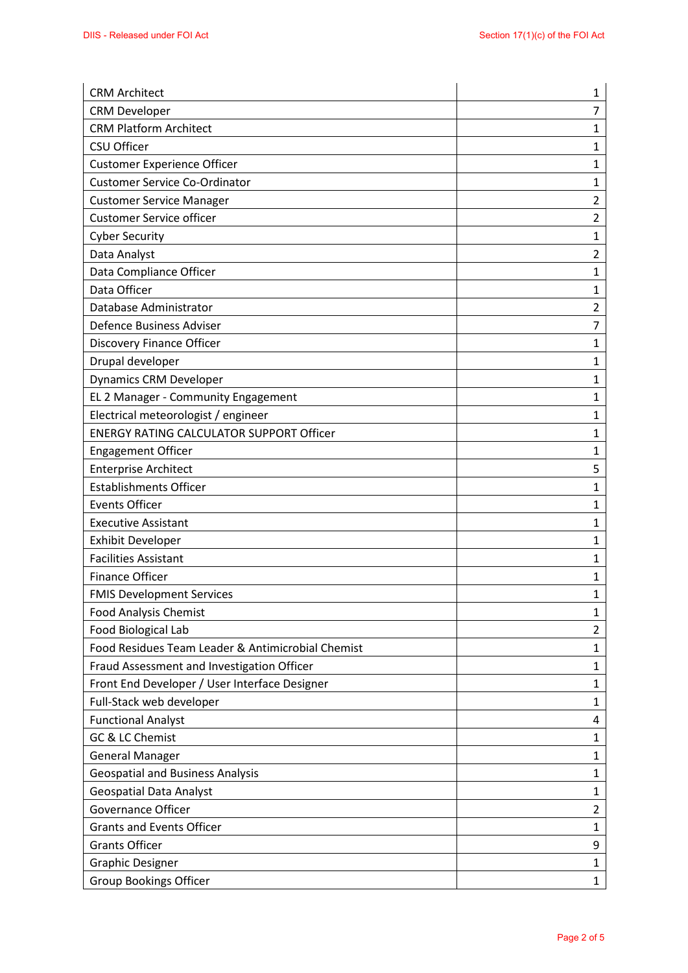| <b>CRM Architect</b>                              | 1              |
|---------------------------------------------------|----------------|
| <b>CRM Developer</b>                              | $\overline{7}$ |
| <b>CRM Platform Architect</b>                     | 1              |
| CSU Officer                                       | 1              |
| <b>Customer Experience Officer</b>                | 1              |
| <b>Customer Service Co-Ordinator</b>              | 1              |
| <b>Customer Service Manager</b>                   | $\overline{2}$ |
| <b>Customer Service officer</b>                   | $\overline{2}$ |
| <b>Cyber Security</b>                             | $\mathbf{1}$   |
| Data Analyst                                      | $\overline{2}$ |
| Data Compliance Officer                           | 1              |
| Data Officer                                      | 1              |
| Database Administrator                            | $\overline{2}$ |
| Defence Business Adviser                          | 7              |
| <b>Discovery Finance Officer</b>                  | 1              |
| Drupal developer                                  | 1              |
| <b>Dynamics CRM Developer</b>                     | 1              |
| EL 2 Manager - Community Engagement               | 1              |
| Electrical meteorologist / engineer               | 1              |
| <b>ENERGY RATING CALCULATOR SUPPORT Officer</b>   | 1              |
| <b>Engagement Officer</b>                         | 1              |
| <b>Enterprise Architect</b>                       | 5              |
| <b>Establishments Officer</b>                     | 1              |
| <b>Events Officer</b>                             | 1              |
| <b>Executive Assistant</b>                        | 1              |
| <b>Exhibit Developer</b>                          | $\mathbf{1}$   |
| <b>Facilities Assistant</b>                       | 1              |
| <b>Finance Officer</b>                            | 1              |
| <b>FMIS Development Services</b>                  | 1              |
| <b>Food Analysis Chemist</b>                      | 1              |
| Food Biological Lab                               | $\overline{2}$ |
| Food Residues Team Leader & Antimicrobial Chemist | 1              |
| Fraud Assessment and Investigation Officer        | $\mathbf{1}$   |
| Front End Developer / User Interface Designer     | $\mathbf{1}$   |
| Full-Stack web developer                          | 1              |
| <b>Functional Analyst</b>                         | 4              |
| GC & LC Chemist                                   | 1              |
| <b>General Manager</b>                            | 1              |
| <b>Geospatial and Business Analysis</b>           | 1              |
| <b>Geospatial Data Analyst</b>                    | 1              |
| <b>Governance Officer</b>                         | $\overline{2}$ |
| <b>Grants and Events Officer</b>                  | 1              |
| <b>Grants Officer</b>                             | 9              |
| <b>Graphic Designer</b>                           | $\mathbf{1}$   |
| Group Bookings Officer                            | $\mathbf{1}$   |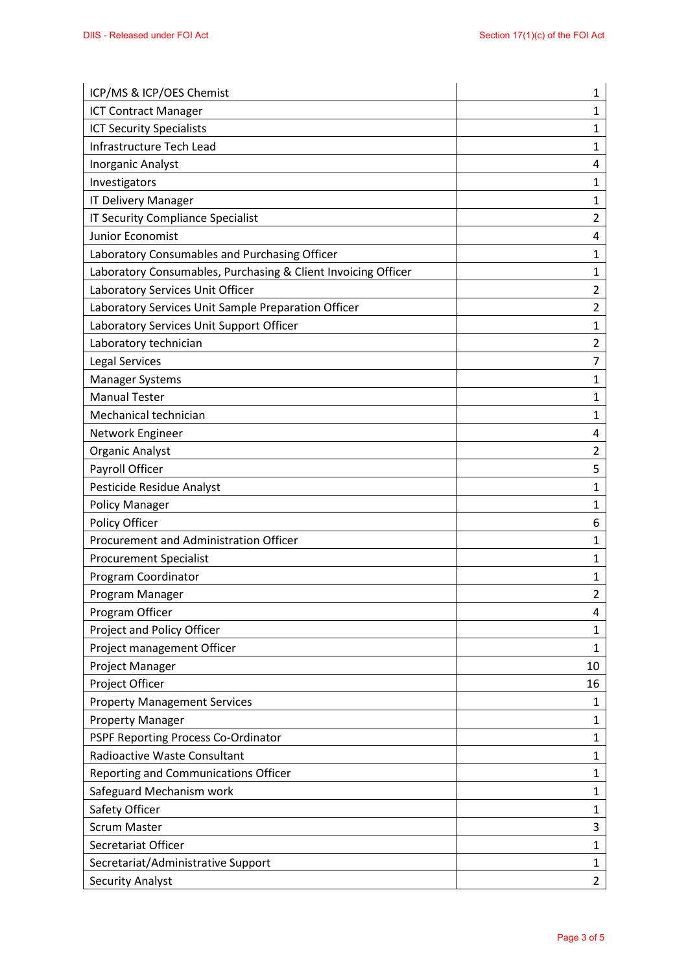| ICP/MS & ICP/OES Chemist                                      | 1              |
|---------------------------------------------------------------|----------------|
| <b>ICT Contract Manager</b>                                   | 1              |
| <b>ICT Security Specialists</b>                               | 1              |
| Infrastructure Tech Lead                                      | 1              |
| Inorganic Analyst                                             | 4              |
| Investigators                                                 | 1              |
| <b>IT Delivery Manager</b>                                    | 1              |
| IT Security Compliance Specialist                             | $\overline{2}$ |
| Junior Economist                                              | 4              |
| Laboratory Consumables and Purchasing Officer                 | 1              |
| Laboratory Consumables, Purchasing & Client Invoicing Officer | 1              |
| Laboratory Services Unit Officer                              | $\overline{2}$ |
| Laboratory Services Unit Sample Preparation Officer           | $\overline{2}$ |
| Laboratory Services Unit Support Officer                      | 1              |
| Laboratory technician                                         | $\overline{2}$ |
| Legal Services                                                | $\overline{7}$ |
| <b>Manager Systems</b>                                        | 1              |
| <b>Manual Tester</b>                                          | 1              |
| Mechanical technician                                         | $\mathbf{1}$   |
| Network Engineer                                              | 4              |
| <b>Organic Analyst</b>                                        | $\overline{2}$ |
| Payroll Officer                                               | 5              |
| Pesticide Residue Analyst                                     | 1              |
| <b>Policy Manager</b>                                         | 1              |
| Policy Officer                                                | 6              |
| Procurement and Administration Officer                        | 1              |
| <b>Procurement Specialist</b>                                 | 1              |
| Program Coordinator                                           | 1              |
| Program Manager                                               | $\overline{2}$ |
| Program Officer                                               | 4              |
| Project and Policy Officer                                    | 1              |
| Project management Officer                                    | 1              |
| Project Manager                                               | 10             |
| Project Officer                                               | 16             |
| <b>Property Management Services</b>                           | 1              |
| <b>Property Manager</b>                                       | 1              |
| PSPF Reporting Process Co-Ordinator                           | 1              |
| <b>Radioactive Waste Consultant</b>                           | 1              |
| Reporting and Communications Officer                          | 1              |
| Safeguard Mechanism work                                      | 1              |
| Safety Officer                                                | $\mathbf{1}$   |
| <b>Scrum Master</b>                                           | 3              |
| Secretariat Officer                                           | $\mathbf{1}$   |
| Secretariat/Administrative Support                            | 1              |
| <b>Security Analyst</b>                                       | $\overline{2}$ |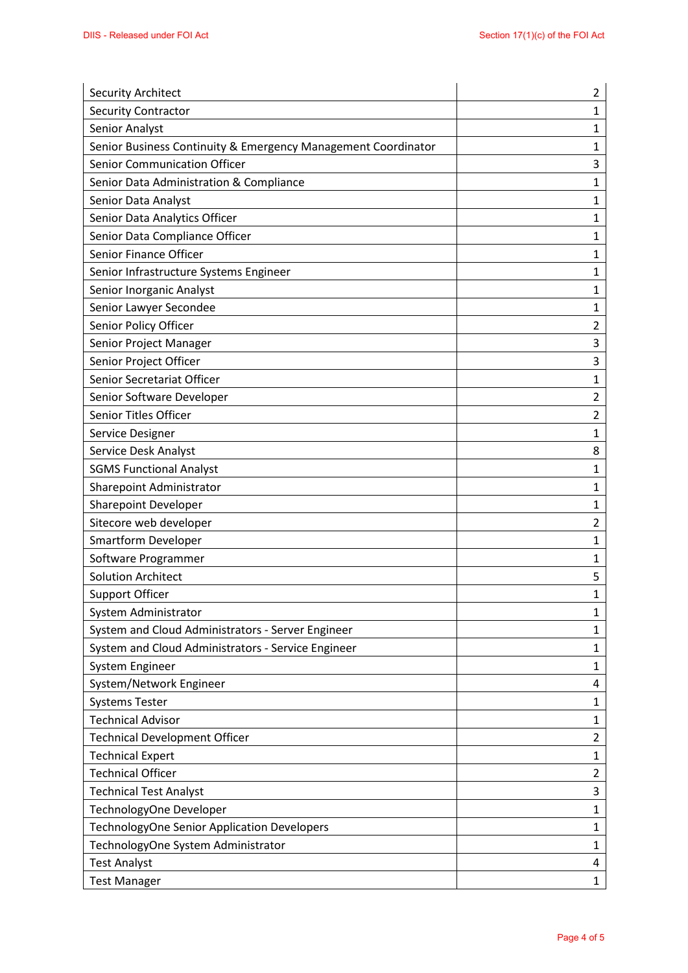| <b>Security Architect</b>                                     | 2              |
|---------------------------------------------------------------|----------------|
| <b>Security Contractor</b>                                    | 1              |
| Senior Analyst                                                | 1              |
| Senior Business Continuity & Emergency Management Coordinator | 1              |
| Senior Communication Officer                                  | 3              |
| Senior Data Administration & Compliance                       | 1              |
| Senior Data Analyst                                           | 1              |
| Senior Data Analytics Officer                                 | 1              |
| Senior Data Compliance Officer                                | 1              |
| Senior Finance Officer                                        | 1              |
| Senior Infrastructure Systems Engineer                        | 1              |
| Senior Inorganic Analyst                                      | 1              |
| Senior Lawyer Secondee                                        | $\mathbf 1$    |
| Senior Policy Officer                                         | $\overline{2}$ |
| Senior Project Manager                                        | 3              |
| Senior Project Officer                                        | 3              |
| Senior Secretariat Officer                                    | $\mathbf 1$    |
| Senior Software Developer                                     | $\overline{2}$ |
| Senior Titles Officer                                         | $\overline{2}$ |
| Service Designer                                              | 1              |
| Service Desk Analyst                                          | 8              |
| <b>SGMS Functional Analyst</b>                                | 1              |
| Sharepoint Administrator                                      | 1              |
| <b>Sharepoint Developer</b>                                   | 1              |
| Sitecore web developer                                        | 2              |
| <b>Smartform Developer</b>                                    | $\mathbf{1}$   |
| Software Programmer                                           | 1              |
| <b>Solution Architect</b>                                     | 5              |
| <b>Support Officer</b>                                        | 1              |
| System Administrator                                          | 1              |
| System and Cloud Administrators - Server Engineer             | $\mathbf{1}$   |
| System and Cloud Administrators - Service Engineer            | 1              |
| System Engineer                                               | $\mathbf{1}$   |
| System/Network Engineer                                       | 4              |
| <b>Systems Tester</b>                                         | 1              |
| <b>Technical Advisor</b>                                      | 1              |
| <b>Technical Development Officer</b>                          | $\overline{2}$ |
| <b>Technical Expert</b>                                       | 1              |
| <b>Technical Officer</b>                                      | $\overline{2}$ |
| <b>Technical Test Analyst</b>                                 | 3              |
| TechnologyOne Developer                                       | 1              |
| TechnologyOne Senior Application Developers                   | 1              |
| TechnologyOne System Administrator                            | $\mathbf{1}$   |
| <b>Test Analyst</b>                                           | 4              |
| <b>Test Manager</b>                                           | $\mathbf{1}$   |